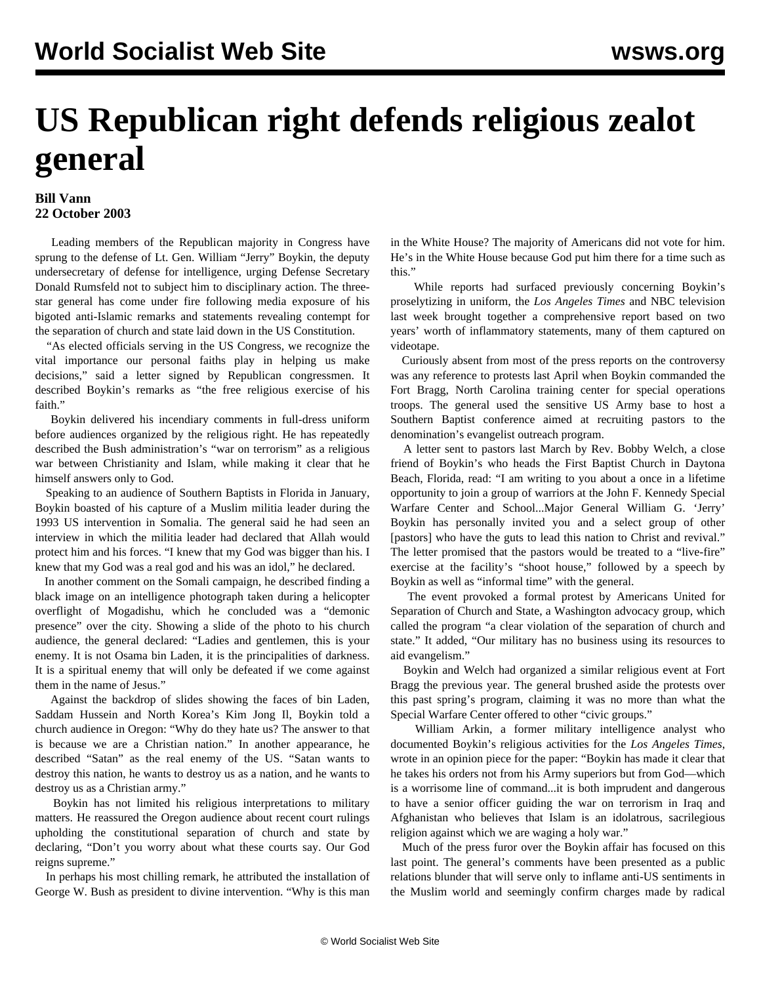## **US Republican right defends religious zealot general**

## **Bill Vann 22 October 2003**

 Leading members of the Republican majority in Congress have sprung to the defense of Lt. Gen. William "Jerry" Boykin, the deputy undersecretary of defense for intelligence, urging Defense Secretary Donald Rumsfeld not to subject him to disciplinary action. The threestar general has come under fire following media exposure of his bigoted anti-Islamic remarks and statements revealing contempt for the separation of church and state laid down in the US Constitution.

 "As elected officials serving in the US Congress, we recognize the vital importance our personal faiths play in helping us make decisions," said a letter signed by Republican congressmen. It described Boykin's remarks as "the free religious exercise of his faith."

 Boykin delivered his incendiary comments in full-dress uniform before audiences organized by the religious right. He has repeatedly described the Bush administration's "war on terrorism" as a religious war between Christianity and Islam, while making it clear that he himself answers only to God.

 Speaking to an audience of Southern Baptists in Florida in January, Boykin boasted of his capture of a Muslim militia leader during the 1993 US intervention in Somalia. The general said he had seen an interview in which the militia leader had declared that Allah would protect him and his forces. "I knew that my God was bigger than his. I knew that my God was a real god and his was an idol," he declared.

 In another comment on the Somali campaign, he described finding a black image on an intelligence photograph taken during a helicopter overflight of Mogadishu, which he concluded was a "demonic presence" over the city. Showing a slide of the photo to his church audience, the general declared: "Ladies and gentlemen, this is your enemy. It is not Osama bin Laden, it is the principalities of darkness. It is a spiritual enemy that will only be defeated if we come against them in the name of Jesus."

 Against the backdrop of slides showing the faces of bin Laden, Saddam Hussein and North Korea's Kim Jong Il, Boykin told a church audience in Oregon: "Why do they hate us? The answer to that is because we are a Christian nation." In another appearance, he described "Satan" as the real enemy of the US. "Satan wants to destroy this nation, he wants to destroy us as a nation, and he wants to destroy us as a Christian army."

 Boykin has not limited his religious interpretations to military matters. He reassured the Oregon audience about recent court rulings upholding the constitutional separation of church and state by declaring, "Don't you worry about what these courts say. Our God reigns supreme."

 In perhaps his most chilling remark, he attributed the installation of George W. Bush as president to divine intervention. "Why is this man

in the White House? The majority of Americans did not vote for him. He's in the White House because God put him there for a time such as this."

 While reports had surfaced previously concerning Boykin's proselytizing in uniform, the *Los Angeles Times* and NBC television last week brought together a comprehensive report based on two years' worth of inflammatory statements, many of them captured on videotape.

 Curiously absent from most of the press reports on the controversy was any reference to protests last April when Boykin commanded the Fort Bragg, North Carolina training center for special operations troops. The general used the sensitive US Army base to host a Southern Baptist conference aimed at recruiting pastors to the denomination's evangelist outreach program.

 A letter sent to pastors last March by Rev. Bobby Welch, a close friend of Boykin's who heads the First Baptist Church in Daytona Beach, Florida, read: "I am writing to you about a once in a lifetime opportunity to join a group of warriors at the John F. Kennedy Special Warfare Center and School...Major General William G. 'Jerry' Boykin has personally invited you and a select group of other [pastors] who have the guts to lead this nation to Christ and revival." The letter promised that the pastors would be treated to a "live-fire" exercise at the facility's "shoot house," followed by a speech by Boykin as well as "informal time" with the general.

 The event provoked a formal protest by Americans United for Separation of Church and State, a Washington advocacy group, which called the program "a clear violation of the separation of church and state." It added, "Our military has no business using its resources to aid evangelism."

 Boykin and Welch had organized a similar religious event at Fort Bragg the previous year. The general brushed aside the protests over this past spring's program, claiming it was no more than what the Special Warfare Center offered to other "civic groups."

 William Arkin, a former military intelligence analyst who documented Boykin's religious activities for the *Los Angeles Times*, wrote in an opinion piece for the paper: "Boykin has made it clear that he takes his orders not from his Army superiors but from God—which is a worrisome line of command...it is both imprudent and dangerous to have a senior officer guiding the war on terrorism in Iraq and Afghanistan who believes that Islam is an idolatrous, sacrilegious religion against which we are waging a holy war."

 Much of the press furor over the Boykin affair has focused on this last point. The general's comments have been presented as a public relations blunder that will serve only to inflame anti-US sentiments in the Muslim world and seemingly confirm charges made by radical